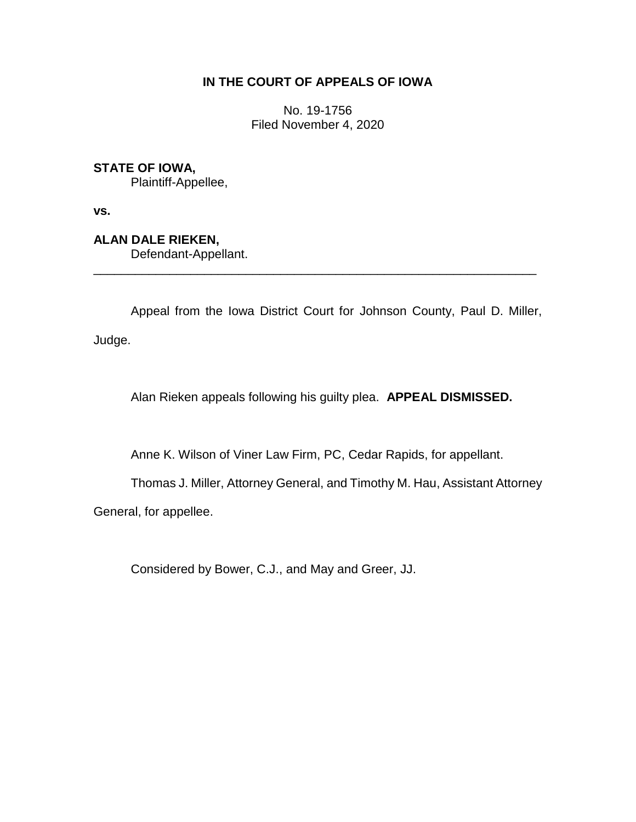## **IN THE COURT OF APPEALS OF IOWA**

No. 19-1756 Filed November 4, 2020

## **STATE OF IOWA,**

Plaintiff-Appellee,

**vs.**

**ALAN DALE RIEKEN,**

Defendant-Appellant.

Appeal from the Iowa District Court for Johnson County, Paul D. Miller,

\_\_\_\_\_\_\_\_\_\_\_\_\_\_\_\_\_\_\_\_\_\_\_\_\_\_\_\_\_\_\_\_\_\_\_\_\_\_\_\_\_\_\_\_\_\_\_\_\_\_\_\_\_\_\_\_\_\_\_\_\_\_\_\_

Judge.

Alan Rieken appeals following his guilty plea. **APPEAL DISMISSED.**

Anne K. Wilson of Viner Law Firm, PC, Cedar Rapids, for appellant.

Thomas J. Miller, Attorney General, and Timothy M. Hau, Assistant Attorney

General, for appellee.

Considered by Bower, C.J., and May and Greer, JJ.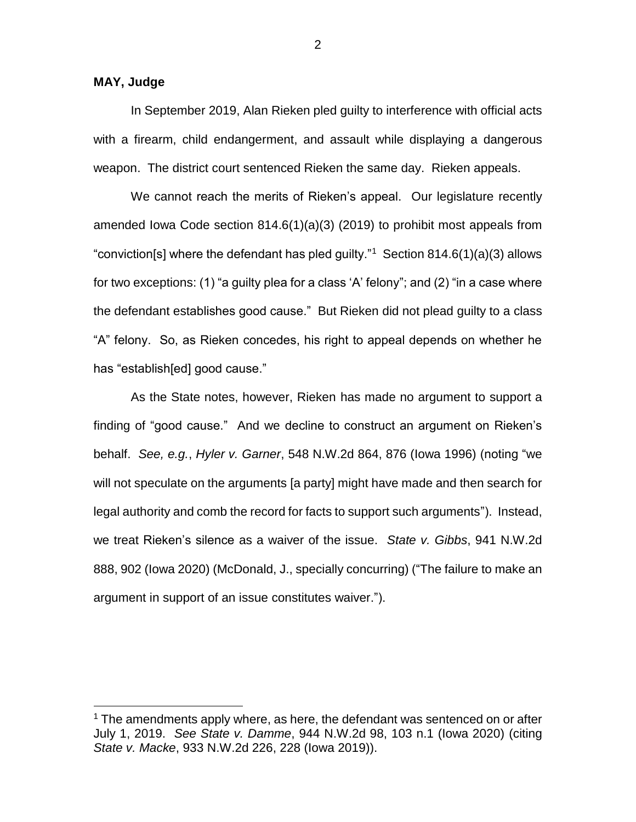## **MAY, Judge**

 $\overline{a}$ 

In September 2019, Alan Rieken pled guilty to interference with official acts with a firearm, child endangerment, and assault while displaying a dangerous weapon. The district court sentenced Rieken the same day. Rieken appeals.

We cannot reach the merits of Rieken's appeal. Our legislature recently amended Iowa Code section 814.6(1)(a)(3) (2019) to prohibit most appeals from "conviction[s] where the defendant has pled guilty."<sup>1</sup> Section 814.6(1)(a)(3) allows for two exceptions: (1) "a guilty plea for a class 'A' felony"; and (2) "in a case where the defendant establishes good cause." But Rieken did not plead guilty to a class "A" felony. So, as Rieken concedes, his right to appeal depends on whether he has "establish[ed] good cause."

As the State notes, however, Rieken has made no argument to support a finding of "good cause." And we decline to construct an argument on Rieken's behalf. *See, e.g.*, *Hyler v. Garner*, 548 N.W.2d 864, 876 (Iowa 1996) (noting "we will not speculate on the arguments [a party] might have made and then search for legal authority and comb the record for facts to support such arguments"). Instead, we treat Rieken's silence as a waiver of the issue. *State v. Gibbs*, 941 N.W.2d 888, 902 (Iowa 2020) (McDonald, J., specially concurring) ("The failure to make an argument in support of an issue constitutes waiver.").

2

 $1$  The amendments apply where, as here, the defendant was sentenced on or after July 1, 2019. *See State v. Damme*, 944 N.W.2d 98, 103 n.1 (Iowa 2020) (citing *State v. Macke*, 933 N.W.2d 226, 228 (Iowa 2019)).